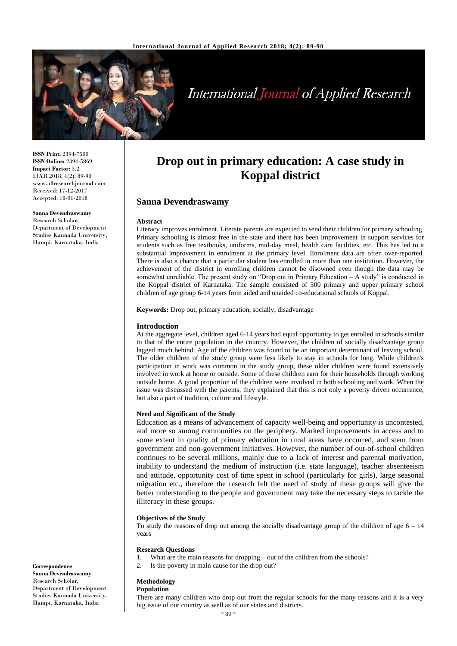

# **International Journal of Applied Research**

**ISSN Print:** 2394-7500 **ISSN Online:** 2394-5869 **Impact Factor:** 5.2 IJAR 2018; 4(2): 89-90 www.allresearchjournal.com Received: 17-12-2017 Accepted: 18-01-2018

**Sanna Devendraswamy** Research Scholar, Department of Development Studies Kannada University, Hampi, Karnataka, India

## **Drop out in primary education: A case study in Koppal district**

## **Sanna Devendraswamy**

#### **Abstract**

Literacy improves enrolment. Literate parents are expected to send their children for primary schooling. Primary schooling is almost free in the state and there has been improvement in support services for students such as free textbooks, uniforms, mid-day meal, health care facilities, etc. This has led to a substantial improvement in enrolment at the primary level. Enrolment data are often over-reported. There is also a chance that a particular student has enrolled in more than one institution. However, the achievement of the district in enrolling children cannot be disowned even though the data may be somewhat unreliable. The present study on "Drop out in Primary Education – A study" is conducted in the Koppal district of Karnataka. The sample consisted of 300 primary and upper primary school children of age group 6-14 years from aided and unaided co-educational schools of Koppal.

**Keywords:** Drop out, primary education, socially, disadvantage

## **Introduction**

At the aggregate level, children aged 6-14 years had equal opportunity to get enrolled in schools similar to that of the entire population in the country. However, the children of socially disadvantage group lagged much behind. Age of the children was found to be an important determinant of leaving school. The older children of the study group were less likely to stay in schools for long. While children's participation in work was common in the study group, these older children were found extensively involved in work at home or outside. Some of these children earn for their households through working outside home. A good proportion of the children were involved in both schooling and work. When the issue was discussed with the parents, they explained that this is not only a poverty driven occurrence, but also a part of tradition, culture and lifestyle.

#### **Need and Significant of the Study**

Education as a means of advancement of capacity well-being and opportunity is uncontested, and more so among communities on the periphery. Marked improvements in access and to some extent in quality of primary education in rural areas have occurred, and stem from government and non-government initiatives. However, the number of out-of-school children continues to be several millions, mainly due to a lack of interest and parental motivation, inability to understand the medium of instruction (i.e. state language), teacher absenteeism and attitude, opportunity cost of time spent in school (particularly for girls), large seasonal migration etc., therefore the research felt the need of study of these groups will give the better understanding to the people and government may take the necessary steps to tackle the illiteracy in these groups.

#### **Objectives of the Study**

To study the reasons of drop out among the socially disadvantage group of the children of age  $6 - 14$ years

#### **Research Questions**

- 1. What are the main reasons for dropping out of the children from the schools?
- 2. Is the poverty in main cause for the drop out?

## **Methodology**

**Population**

There are many children who drop out from the regular schools for the many reasons and it is a very big issue of our country as well as of our states and districts.